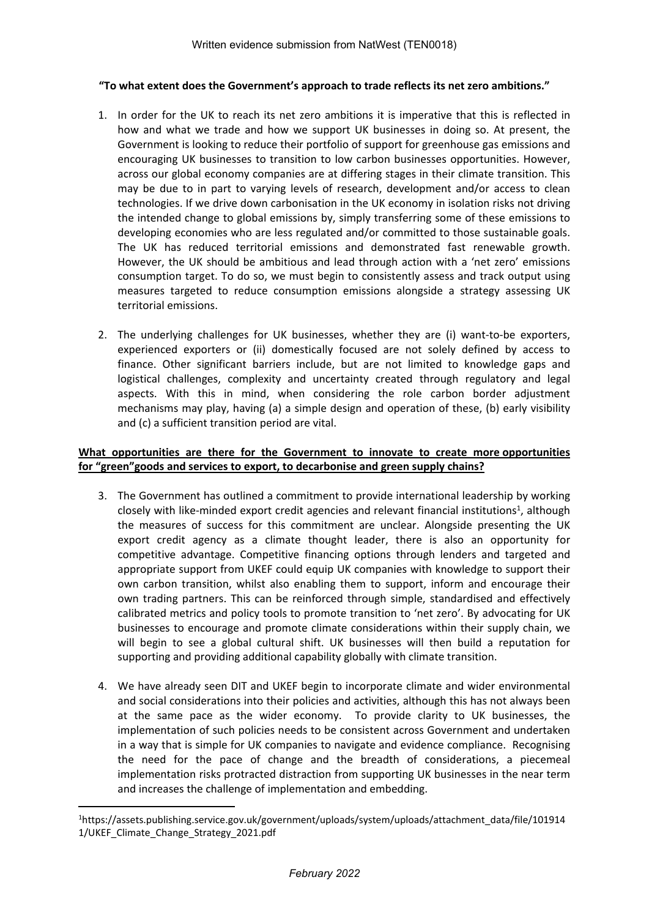## **"To what extent does the Government's approach to trade reflects its net zero ambitions."**

- 1. In order for the UK to reach its net zero ambitions it is imperative that this is reflected in how and what we trade and how we support UK businesses in doing so. At present, the Government is looking to reduce their portfolio of support for greenhouse gas emissions and encouraging UK businesses to transition to low carbon businesses opportunities. However, across our global economy companies are at differing stages in their climate transition. This may be due to in part to varying levels of research, development and/or access to clean technologies. If we drive down carbonisation in the UK economy in isolation risks not driving the intended change to global emissions by, simply transferring some of these emissions to developing economies who are less regulated and/or committed to those sustainable goals. The UK has reduced territorial emissions and demonstrated fast renewable growth. However, the UK should be ambitious and lead through action with a 'net zero' emissions consumption target. To do so, we must begin to consistently assess and track output using measures targeted to reduce consumption emissions alongside a strategy assessing UK territorial emissions.
- 2. The underlying challenges for UK businesses, whether they are (i) want-to-be exporters, experienced exporters or (ii) domestically focused are not solely defined by access to finance. Other significant barriers include, but are not limited to knowledge gaps and logistical challenges, complexity and uncertainty created through regulatory and legal aspects. With this in mind, when considering the role carbon border adjustment mechanisms may play, having (a) a simple design and operation of these, (b) early visibility and (c) a sufficient transition period are vital.

## **What opportunities are there for the Government to innovate to create more opportunities for "green"goods and services to export, to decarbonise and green supply chains?**

- 3. The Government has outlined a commitment to provide international leadership by working closely with like-minded export credit agencies and relevant financial institutions<sup>1</sup>, although the measures of success for this commitment are unclear. Alongside presenting the UK export credit agency as a climate thought leader, there is also an opportunity for competitive advantage. Competitive financing options through lenders and targeted and appropriate support from UKEF could equip UK companies with knowledge to support their own carbon transition, whilst also enabling them to support, inform and encourage their own trading partners. This can be reinforced through simple, standardised and effectively calibrated metrics and policy tools to promote transition to 'net zero'. By advocating for UK businesses to encourage and promote climate considerations within their supply chain, we will begin to see a global cultural shift. UK businesses will then build a reputation for supporting and providing additional capability globally with climate transition.
- 4. We have already seen DIT and UKEF begin to incorporate climate and wider environmental and social considerations into their policies and activities, although this has not always been at the same pace as the wider economy. To provide clarity to UK businesses, the implementation of such policies needs to be consistent across Government and undertaken in a way that is simple for UK companies to navigate and evidence compliance. Recognising the need for the pace of change and the breadth of considerations, a piecemeal implementation risks protracted distraction from supporting UK businesses in the near term and increases the challenge of implementation and embedding.

<sup>1</sup>https://assets.publishing.service.gov.uk/government/uploads/system/uploads/attachment\_data/file/101914 1/UKEF\_Climate\_Change\_Strategy\_2021.pdf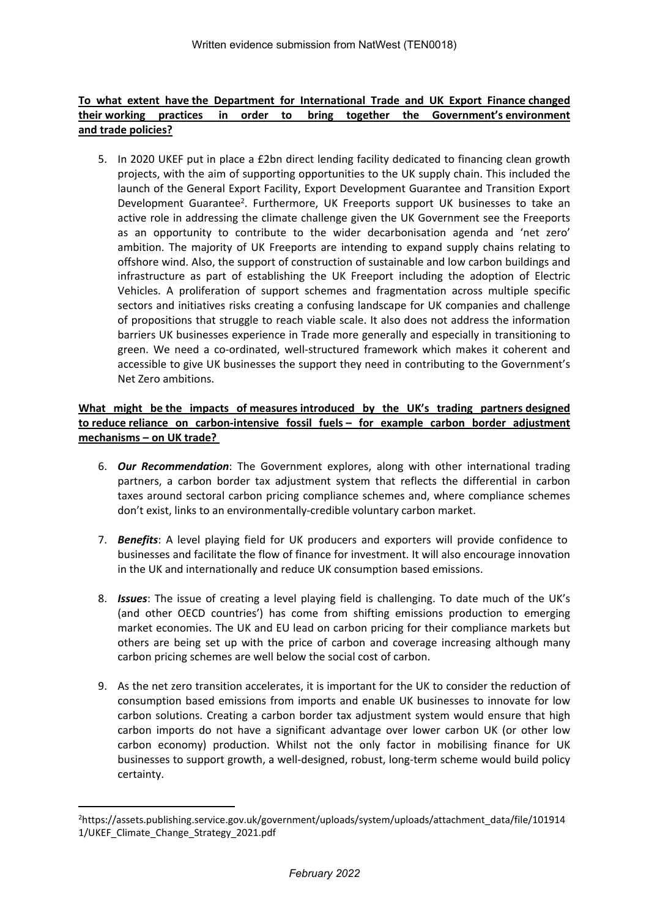## **To what extent have the Department for International Trade and UK Export Finance changed their working practices in order to bring together the Government's environment and trade policies?**

5. In 2020 UKEF put in place a £2bn direct lending facility dedicated to financing clean growth projects, with the aim of supporting opportunities to the UK supply chain. This included the launch of the General Export Facility, Export Development Guarantee and Transition Export Development Guarantee<sup>2</sup>. Furthermore, UK Freeports support UK businesses to take an active role in addressing the climate challenge given the UK Government see the Freeports as an opportunity to contribute to the wider decarbonisation agenda and 'net zero' ambition. The majority of UK Freeports are intending to expand supply chains relating to offshore wind. Also, the support of construction of sustainable and low carbon buildings and infrastructure as part of establishing the UK Freeport including the adoption of Electric Vehicles. A proliferation of support schemes and fragmentation across multiple specific sectors and initiatives risks creating a confusing landscape for UK companies and challenge of propositions that struggle to reach viable scale. It also does not address the information barriers UK businesses experience in Trade more generally and especially in transitioning to green. We need a co-ordinated, well-structured framework which makes it coherent and accessible to give UK businesses the support they need in contributing to the Government's Net Zero ambitions.

## **What might be the impacts of measures introduced by the UK's trading partners designed to reduce reliance on carbon-intensive fossil fuels – for example carbon border adjustment mechanisms – on UK trade?**

- 6. *Our Recommendation*: The Government explores, along with other international trading partners, a carbon border tax adjustment system that reflects the differential in carbon taxes around sectoral carbon pricing compliance schemes and, where compliance schemes don't exist, links to an environmentally-credible voluntary carbon market.
- 7. *Benefits*: A level playing field for UK producers and exporters will provide confidence to businesses and facilitate the flow of finance for investment. It will also encourage innovation in the UK and internationally and reduce UK consumption based emissions.
- 8. *Issues*: The issue of creating a level playing field is challenging. To date much of the UK's (and other OECD countries') has come from shifting emissions production to emerging market economies. The UK and EU lead on carbon pricing for their compliance markets but others are being set up with the price of carbon and coverage increasing although many carbon pricing schemes are well below the social cost of carbon.
- 9. As the net zero transition accelerates, it is important for the UK to consider the reduction of consumption based emissions from imports and enable UK businesses to innovate for low carbon solutions. Creating a carbon border tax adjustment system would ensure that high carbon imports do not have a significant advantage over lower carbon UK (or other low carbon economy) production. Whilst not the only factor in mobilising finance for UK businesses to support growth, a well-designed, robust, long-term scheme would build policy certainty.

<sup>2</sup>https://assets.publishing.service.gov.uk/government/uploads/system/uploads/attachment\_data/file/101914 1/UKEF\_Climate\_Change\_Strategy\_2021.pdf